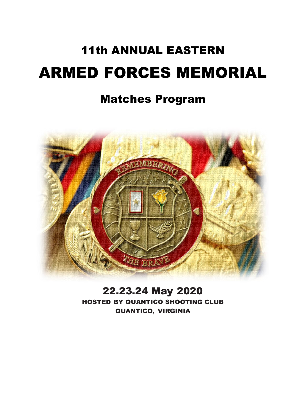# 11th ANNUAL EASTERN ARMED FORCES MEMORIAL

## Matches Program



22.23.24 May 2020 HOSTED BY QUANTICO SHOOTING CLUB QUANTICO, VIRGINIA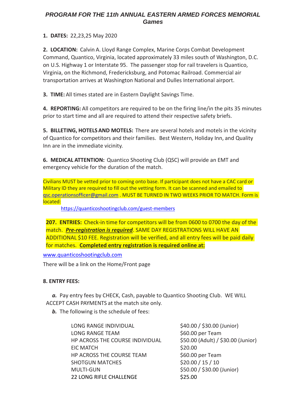## *PROGRAM FOR THE 11th ANNUAL EASTERN ARMED FORCES MEMORIAL Games*

**1. DATES:** 22,23,25 May 2020

**2. LOCATION:** Calvin A. Lloyd Range Complex, Marine Corps Combat Development Command, Quantico, Virginia, located approximately 33 miles south of Washington, D.C. on U.S. Highway 1 or Interstate 95. The passenger stop for rail travelers is Quantico, Virginia, on the Richmond, Fredericksburg, and Potomac Railroad. Commercial air transportation arrives at Washington National and Dulles International airport.

**3. TIME:** All times stated are in Eastern Daylight Savings Time.

**4. REPORTING:** All competitors are required to be on the firing line/in the pits 35 minutes prior to start time and all are required to attend their respective safety briefs.

**5. BILLETING, HOTELSAND MOTELS:** There are several hotels and motels in the vicinity of Quantico for competitors and their families. Best Western, Holiday Inn, and Quality Inn are in the immediate vicinity.

**6. MEDICAL ATTENTION:** Quantico Shooting Club (QSC) will provide an EMT and emergency vehicle for the duration of the match.

Civilians MUST be vetted prior to coming onto base. If participant does not have a CAC card or Military ID they are required to fill out the vetting form. It can be scanned and emailed to [qsc.operationsofficer@gmail.com](mailto:qsc.operationsofficer@gmail.com) . MUST BE TURNED IN TWO WEEKS PRIOR TO MATCH. Form is located:

<https://quanticoshootingclub.com/guest-members>

**207. ENTRIES:** Check-in time for competitors will be from 0600 to 0700 the day of the match. *Pre-registration is required*. SAME DAY REGISTRATIONS WILL HAVE AN ADDITIONAL \$10 FEE. Registration will be verified, and all entry fees will be paid daily for matches. **Completed entry registration is required online at:**

[www.quanticoshootingclub.com](http://www.quanticoshootingclub.com/)

There will be a link on the Home/Front page

## **8. ENTRY FEES:**

*a.* Pay entry fees by CHECK, Cash, payable to Quantico Shooting Club. WE WILL ACCEPT CASH PAYMENTS at the match site only.

*b.* The following is the schedule of fees:

| LONG RANGE INDIVIDUAL           | \$40.00 / \$30.00 (Junior)         |
|---------------------------------|------------------------------------|
| <b>LONG RANGE TEAM</b>          | \$60.00 per Team                   |
| HP ACROSS THE COURSE INDIVIDUAL | \$50.00 (Adult) / \$30.00 (Junior) |
| <b>EIC MATCH</b>                | \$20.00                            |
| HP ACROSS THE COURSE TEAM       | \$60.00 per Team                   |
| <b>SHOTGUN MATCHES</b>          | \$20.00 / 15 / 10                  |
| <b>MULTI-GUN</b>                | \$50.00 / \$30.00 (Junior)         |
| <b>22 LONG RIFLE CHALLENGE</b>  | \$25.00                            |
|                                 |                                    |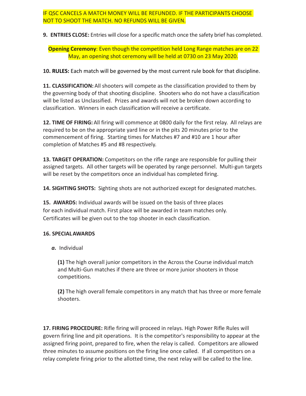## IF QSC CANCELS A MATCH MONEY WILL BE REFUNDED. IF THE PARTICIPANTS CHOOSE NOT TO SHOOT THE MATCH. NO REFUNDS WILL BE GIVEN.

**9. ENTRIES CLOSE:** Entries will close for a specific match once the safety brief has completed.

## **Opening Ceremony**: Even though the competition held Long Range matches are on 22 May, an opening shot ceremony will be held at 0730 on 23 May 2020.

**10. RULES:** Each match will be governed by the most current rule book for that discipline.

**11. CLASSIFICATION:** All shooters will compete as the classification provided to them by the governing body of that shooting discipline. Shooters who do not have a classification will be listed as Unclassified. Prizes and awards will not be broken down according to classification. Winners in each classification will receive a certificate.

**12. TIME OF FIRING:** All firing will commence at 0800 daily for the first relay. All relays are required to be on the appropriate yard line or in the pits 20 minutes prior to the commencement of firing. Starting times for Matches #7 and #10 are 1 hour after completion of Matches #5 and #8 respectively.

**13. TARGET OPERATION:** Competitors on the rifle range are responsible for pulling their assigned targets. All other targets will be operated by range personnel. Multi-gun targets will be reset by the competitors once an individual has completed firing.

**14. SIGHTING SHOTS:** Sighting shots are not authorized except for designated matches.

**15. AWARDS:** Individual awards will be issued on the basis of three places for each individual match. First place will be awarded in team matches only. Certificates will be given out to the top shooter in each classification.

## **16. SPECIALAWARDS**

*a.* Individual

**(1)** The high overall junior competitors in the Across the Course individual match and Multi-Gun matches if there are three or more junior shooters in those competitions.

**(2)** The high overall female competitors in any match that has three or more female shooters.

**17. FIRING PROCEDURE:** Rifle firing will proceed in relays. High Power Rifle Rules will govern firing line and pit operations. It is the competitor's responsibility to appear at the assigned firing point, prepared to fire, when the relay is called. Competitors are allowed three minutes to assume positions on the firing line once called. If all competitors on a relay complete firing prior to the allotted time, the next relay will be called to the line.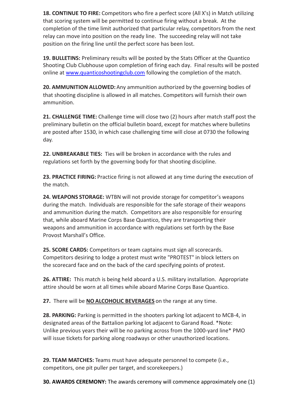**18. CONTINUE TO FIRE:** Competitors who fire a perfect score (All X's) in Match utilizing that scoring system will be permitted to continue firing without a break. At the completion of the time limit authorized that particular relay, competitors from the next relay can move into position on the ready line. The succeeding relay will not take position on the firing line until the perfect score has been lost.

**19. BULLETINS:** Preliminary results will be posted by the Stats Officer at the Quantico Shooting Club Clubhouse upon completion of firing each day. Final results will be posted online at [www.quanticoshootingclub.com](http://www.quanticoshootingclub.com/) following the completion of the match.

**20. AMMUNITION ALLOWED:**Any ammunition authorized by the governing bodies of that shooting discipline is allowed in all matches. Competitors will furnish their own ammunition.

**21. CHALLENGE TIME:** Challenge time will close two (2) hours after match staff post the preliminary bulletin on the official bulletin board, except for matches where bulletins are posted after 1530, in which case challenging time will close at 0730 the following day.

**22. UNBREAKABLE TIES:** Ties will be broken in accordance with the rules and regulations set forth by the governing body for that shooting discipline.

**23. PRACTICE FIRING:** Practice firing is not allowed at any time during the execution of the match.

**24. WEAPONS STORAGE:** WTBN will not provide storage for competitor's weapons during the match. Individuals are responsible for the safe storage of their weapons and ammunition during the match. Competitors are also responsible for ensuring that, while aboard Marine Corps Base Quantico, they are transporting their weapons and ammunition in accordance with regulations set forth by the Base Provost Marshall's Office.

**25. SCORE CARDS:** Competitors or team captains must sign all scorecards. Competitors desiring to lodge a protest must write "PROTEST" in block letters on the scorecard face and on the back of the card specifying points of protest.

**26. ATTIRE:** This match is being held aboard a U.S. military installation. Appropriate attire should be worn at all times while aboard Marine Corps Base Quantico.

**27.** There will be **NO ALCOHOLIC BEVERAGES** on the range at any time.

**28. PARKING:** Parking is permitted in the shooters parking lot adjacent to MCB-4, in designated areas of the Battalion parking lot adjacent to Garand Road. \*Note: Unlike previous years their will be no parking across from the 1000-yard line\* PMO will issue tickets for parking along roadways or other unauthorized locations.

**29. TEAM MATCHES:** Teams must have adequate personnel to compete (i.e., competitors, one pit puller per target, and scorekeepers.)

**30. AWARDS CEREMONY:** The awards ceremony will commence approximately one (1)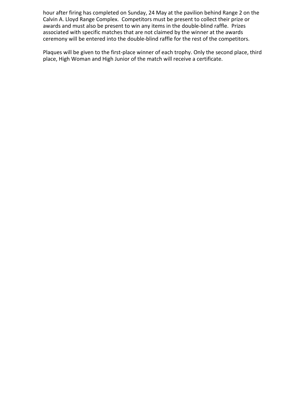hour after firing has completed on Sunday, 24 May at the pavilion behind Range 2 on the Calvin A. Lloyd Range Complex. Competitors must be present to collect their prize or awards and must also be present to win any items in the double-blind raffle. Prizes associated with specific matches that are not claimed by the winner at the awards ceremony will be entered into the double-blind raffle for the rest of the competitors.

Plaques will be given to the first-place winner of each trophy. Only the second place, third place, High Woman and High Junior of the match will receive a certificate.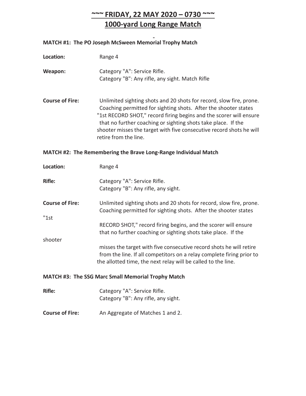*~~~* **FRIDAY, 22 MAY 2020 – 0730 ~~~ 1000-yard Long Range Match**

## **MATCH #1: The PO Joseph McSween Memorial Trophy Match**

| Location:                      | Range 4                                                                                                                                                                                                                                                                                                                                                                        |
|--------------------------------|--------------------------------------------------------------------------------------------------------------------------------------------------------------------------------------------------------------------------------------------------------------------------------------------------------------------------------------------------------------------------------|
| Weapon:                        | Category "A": Service Rifle.<br>Category "B": Any rifle, any sight. Match Rifle                                                                                                                                                                                                                                                                                                |
| <b>Course of Fire:</b>         | Unlimited sighting shots and 20 shots for record, slow fire, prone.<br>Coaching permitted for sighting shots. After the shooter states<br>"1st RECORD SHOT," record firing begins and the scorer will ensure<br>that no further coaching or sighting shots take place. If the<br>shooter misses the target with five consecutive record shots he will<br>retire from the line. |
|                                | MATCH #2: The Remembering the Brave Long-Range Individual Match                                                                                                                                                                                                                                                                                                                |
| Location:                      | Range 4                                                                                                                                                                                                                                                                                                                                                                        |
| <b>Rifle:</b>                  | Category "A": Service Rifle.<br>Category "B": Any rifle, any sight.                                                                                                                                                                                                                                                                                                            |
| <b>Course of Fire:</b><br>"1st | Unlimited sighting shots and 20 shots for record, slow fire, prone.<br>Coaching permitted for sighting shots. After the shooter states                                                                                                                                                                                                                                         |
|                                | RECORD SHOT," record firing begins, and the scorer will ensure<br>that no further coaching or sighting shots take place. If the                                                                                                                                                                                                                                                |
| shooter                        | misses the target with five consecutive record shots he will retire<br>from the line. If all competitors on a relay complete firing prior to<br>the allotted time, the next relay will be called to the line.                                                                                                                                                                  |
|                                | MATCH #3: The SSG Marc Small Memorial Trophy Match                                                                                                                                                                                                                                                                                                                             |
| <b>Rifle:</b>                  | Category "A": Service Rifle.<br>Category "B": Any rifle, any sight.                                                                                                                                                                                                                                                                                                            |
| <b>Course of Fire:</b>         | An Aggregate of Matches 1 and 2.                                                                                                                                                                                                                                                                                                                                               |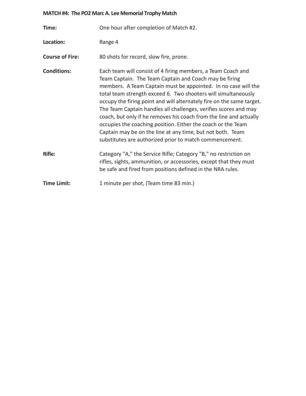## **MATCH #4: The PO2 Marc A. Lee Memorial Trophy Match**

| Time:                  | One hour after completion of Match #2.                                                                                                                                                                                                                                                                                                                                                                                                                                                                                                                                                                                                                                 |
|------------------------|------------------------------------------------------------------------------------------------------------------------------------------------------------------------------------------------------------------------------------------------------------------------------------------------------------------------------------------------------------------------------------------------------------------------------------------------------------------------------------------------------------------------------------------------------------------------------------------------------------------------------------------------------------------------|
| Location:              | Range 4                                                                                                                                                                                                                                                                                                                                                                                                                                                                                                                                                                                                                                                                |
| <b>Course of Fire:</b> | 80 shots for record, slow fire, prone.                                                                                                                                                                                                                                                                                                                                                                                                                                                                                                                                                                                                                                 |
| <b>Conditions:</b>     | Each team will consist of 4 firing members, a Team Coach and<br>Team Captain. The Team Captain and Coach may be firing<br>members. A Team Captain must be appointed. In no case will the<br>total team strength exceed 6. Two shooters will simultaneously<br>occupy the firing point and will alternately fire on the same target.<br>The Team Captain handles all challenges, verifies scores and may<br>coach, but only if he removes his coach from the line and actually<br>occupies the coaching position. Either the coach or the Team<br>Captain may be on the line at any time, but not both. Team<br>substitutes are authorized prior to match commencement. |
| <b>Rifle:</b>          | Category "A," the Service Rifle; Category "B," no restriction on<br>rifles, sights, ammunition, or accessories, except that they must<br>be safe and fired from positions defined in the NRA rules.                                                                                                                                                                                                                                                                                                                                                                                                                                                                    |
| <b>Time Limit:</b>     | 1 minute per shot, (Team time 83 min.)                                                                                                                                                                                                                                                                                                                                                                                                                                                                                                                                                                                                                                 |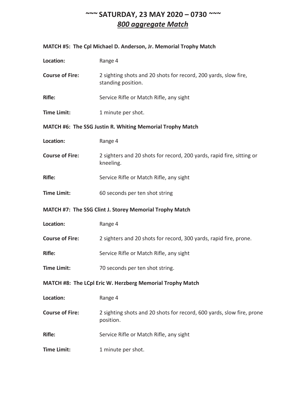## *~~~* **SATURDAY, 23 MAY 2020 – 0730** *~~~ 800 aggregate Match*

## **MATCH #5: The Cpl Michael D. Anderson, Jr. Memorial Trophy Match**

| Location:              | Range 4                                                                               |
|------------------------|---------------------------------------------------------------------------------------|
| <b>Course of Fire:</b> | 2 sighting shots and 20 shots for record, 200 yards, slow fire,<br>standing position. |
| <b>Rifle:</b>          | Service Rifle or Match Rifle, any sight                                               |
| <b>Time Limit:</b>     | 1 minute per shot.                                                                    |
|                        | MATCH #6: The SSG Justin R. Whiting Memorial Trophy Match                             |
| Location:              | Range 4                                                                               |
| <b>Course of Fire:</b> | 2 sighters and 20 shots for record, 200 yards, rapid fire, sitting or<br>kneeling.    |
| <b>Rifle:</b>          | Service Rifle or Match Rifle, any sight                                               |
| <b>Time Limit:</b>     | 60 seconds per ten shot string                                                        |
|                        | MATCH #7: The SSG Clint J. Storey Memorial Trophy Match                               |
| Location:              | Range 4                                                                               |
| <b>Course of Fire:</b> | 2 sighters and 20 shots for record, 300 yards, rapid fire, prone.                     |
| <b>Rifle:</b>          | Service Rifle or Match Rifle, any sight                                               |
| <b>Time Limit:</b>     | 70 seconds per ten shot string.                                                       |
|                        | MATCH #8: The LCpl Eric W. Herzberg Memorial Trophy Match                             |
| Location:              | Range 4                                                                               |
| <b>Course of Fire:</b> | 2 sighting shots and 20 shots for record, 600 yards, slow fire, prone<br>position.    |
| <b>Rifle:</b>          | Service Rifle or Match Rifle, any sight                                               |
| <b>Time Limit:</b>     | 1 minute per shot.                                                                    |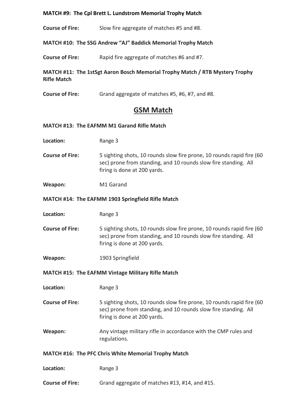#### **MATCH #9: The Cpl Brett L. Lundstrom Memorial Trophy Match**

**Course of Fire:** Slow fire aggregate of matches #5 and #8.

## **MATCH #10: The SSG Andrew "AJ" Baddick Memorial Trophy Match**

**Course of Fire:** Rapid fire aggregate of matches #6 and #7.

## **MATCH #11: The 1stSgt Aaron Bosch Memorial Trophy Match / RTB Mystery Trophy Rifle Match**

**Course of Fire:** Grand aggregate of matches #5, #6, #7, and #8.

## **GSM Match**

#### **MATCH #13: The EAFMM M1 Garand Rifle Match**

- **Location:** Range 3
- **Course of Fire:** 5 sighting shots, 10 rounds slow fire prone, 10 rounds rapid fire (60 sec) prone from standing, and 10 rounds slow fire standing. All firing is done at 200 yards.
- **Weapon:** M1 Garand

#### **MATCH #14: The EAFMM 1903 Springfield Rifle Match**

- **Location:** Range 3
- **Course of Fire:** 5 sighting shots, 10 rounds slow fire prone, 10 rounds rapid fire (60 sec) prone from standing, and 10 rounds slow fire standing. All firing is done at 200 yards.
- **Weapon:** 1903 Springfield

#### **MATCH #15: The EAFMM Vintage Military Rifle Match**

**Location:** Range 3

- **Course of Fire:** 5 sighting shots, 10 rounds slow fire prone, 10 rounds rapid fire (60 sec) prone from standing, and 10 rounds slow fire standing. All firing is done at 200 yards.
- **Weapon:** Any vintage military rifle in accordance with the CMP rules and regulations.

#### **MATCH #16: The PFC Chris White Memorial Trophy Match**

| Range 3 |  |
|---------|--|
|         |  |

**Course of Fire:** Grand aggregate of matches #13, #14, and #15.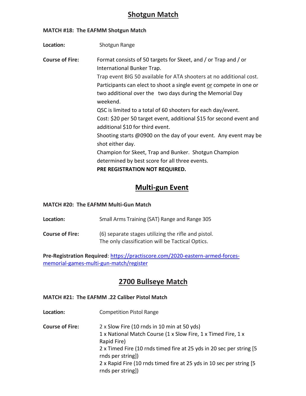## **Shotgun Match**

#### **MATCH #18: The EAFMM Shotgun Match**

| Location:              | Shotgun Range                                                                                                                                                                                                                                                                                                                                                                                                                                                                                                                                                                                                                                                                                      |
|------------------------|----------------------------------------------------------------------------------------------------------------------------------------------------------------------------------------------------------------------------------------------------------------------------------------------------------------------------------------------------------------------------------------------------------------------------------------------------------------------------------------------------------------------------------------------------------------------------------------------------------------------------------------------------------------------------------------------------|
| <b>Course of Fire:</b> | Format consists of 50 targets for Skeet, and / or Trap and / or<br>International Bunker Trap.<br>Trap event BIG 50 available for ATA shooters at no additional cost.<br>Participants can elect to shoot a single event or compete in one or<br>two additional over the two days during the Memorial Day<br>weekend.<br>QSC is limited to a total of 60 shooters for each day/event.<br>Cost: \$20 per 50 target event, additional \$15 for second event and<br>additional \$10 for third event.<br>Shooting starts @0900 on the day of your event. Any event may be<br>shot either day.<br>Champion for Skeet, Trap and Bunker. Shotgun Champion<br>determined by best score for all three events. |
|                        | PRE REGISTRATION NOT REQUIRED.                                                                                                                                                                                                                                                                                                                                                                                                                                                                                                                                                                                                                                                                     |

## **Multi-gun Event**

## **MATCH #20: The EAFMM Multi-Gun Match**

**Location:** Small Arms Training (SAT) Range and Range 305

**Course of Fire:** (6) separate stages utilizing the rifle and pistol. The only classification will be Tactical Optics.

**Pre-Registration Required**: [https://practiscore.com/2020-eastern-armed-forces](https://practiscore.com/2020-eastern-armed-forces-memorial-games-multi-gun-match/register)[memorial-games-multi-gun-match/register](https://practiscore.com/2020-eastern-armed-forces-memorial-games-multi-gun-match/register)

## **2700 Bullseye Match**

#### **MATCH #21: The EAFMM .22 Caliber Pistol Match**

- **Location:** Competition Pistol Range
- **Course of Fire:** 2 x Slow Fire (10 rnds in 10 min at 50 yds) 1 x National Match Course (1 x Slow Fire, 1 x Timed Fire, 1 x Rapid Fire) 2 x Timed Fire (10 rnds timed fire at 25 yds in 20 sec per string [5 rnds per string]) 2 x Rapid Fire (10 rnds timed fire at 25 yds in 10 sec per string [5 rnds per string])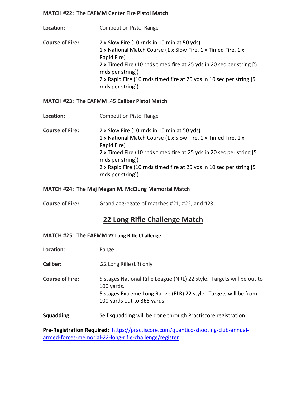#### **MATCH #22: The EAFMM Center Fire Pistol Match**

**Location:** Competition Pistol Range **Course of Fire:** 2 x Slow Fire (10 rnds in 10 min at 50 yds) 1 x National Match Course (1 x Slow Fire, 1 x Timed Fire, 1 x Rapid Fire) 2 x Timed Fire (10 rnds timed fire at 25 yds in 20 sec per string [5 rnds per string]) 2 x Rapid Fire (10 rnds timed fire at 25 yds in 10 sec per string [5 rnds per string])

## **MATCH #23: The EAFMM .45 Caliber Pistol Match**

- **Location:** Competition Pistol Range
- **Course of Fire:** 2 x Slow Fire (10 rnds in 10 min at 50 yds) 1 x National Match Course (1 x Slow Fire, 1 x Timed Fire, 1 x Rapid Fire) 2 x Timed Fire (10 rnds timed fire at 25 yds in 20 sec per string [5 rnds per string]) 2 x Rapid Fire (10 rnds timed fire at 25 yds in 10 sec per string [5 rnds per string])

## **MATCH #24: The Maj Megan M. McClung Memorial Match**

**Course of Fire:** Grand aggregate of matches #21, #22, and #23.

## **22 Long Rifle Challenge Match**

#### **MATCH #25: The EAFMM 22 Long Rifle Challenge**

- **Location:** Range 1
- **Caliber:** .22 Long Rifle (LR) only
- **Course of Fire:** 5 stages National Rifle League (NRL) 22 style. Targets will be out to 100 yards. 5 stages Extreme Long Range (ELR) 22 style. Targets will be from 100 yards out to 365 yards.
- **Squadding:** Self squadding will be done through Practiscore registration.

**Pre-Registration Required:** [https://practiscore.com/quantico-shooting-club-annual](https://practiscore.com/quantico-shooting-club-annual-armed-forces-memorial-22-long-rifle-challenge/register)[armed-forces-memorial-22-long-rifle-challenge/register](https://practiscore.com/quantico-shooting-club-annual-armed-forces-memorial-22-long-rifle-challenge/register)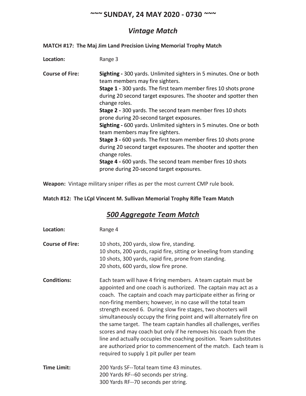## *~~~* **SUNDAY, 24 MAY 2020 - 0730** *~~~*

## *Vintage Match*

## **MATCH #17: The Maj Jim Land Precision Living Memorial Trophy Match**

| Location:              | Range 3                                                                                                                                                                                                                                                                                                                                                                                                                                                                                                                                                                                                                                                                                                                                                 |
|------------------------|---------------------------------------------------------------------------------------------------------------------------------------------------------------------------------------------------------------------------------------------------------------------------------------------------------------------------------------------------------------------------------------------------------------------------------------------------------------------------------------------------------------------------------------------------------------------------------------------------------------------------------------------------------------------------------------------------------------------------------------------------------|
| <b>Course of Fire:</b> | Sighting - 300 yards. Unlimited sighters in 5 minutes. One or both<br>team members may fire sighters.<br><b>Stage 1</b> - 300 yards. The first team member fires 10 shots prone<br>during 20 second target exposures. The shooter and spotter then<br>change roles.<br>Stage 2 - 300 yards. The second team member fires 10 shots<br>prone during 20-second target exposures.<br>Sighting - 600 yards. Unlimited sighters in 5 minutes. One or both<br>team members may fire sighters.<br>Stage 3 - 600 yards. The first team member fires 10 shots prone<br>during 20 second target exposures. The shooter and spotter then<br>change roles.<br>Stage 4 - 600 yards. The second team member fires 10 shots<br>prone during 20-second target exposures. |

**Weapon:** Vintage military sniper rifles as per the most current CMP rule book.

**Match #12: The LCpl Vincent M. Sullivan Memorial Trophy Rifle Team Match**

## *500 Aggregate Team Match*

| Location:              | Range 4                                                                                                                                                                                                                                                                                                                                                                                                                                                                                                                                                                                                                                                                                                                                 |
|------------------------|-----------------------------------------------------------------------------------------------------------------------------------------------------------------------------------------------------------------------------------------------------------------------------------------------------------------------------------------------------------------------------------------------------------------------------------------------------------------------------------------------------------------------------------------------------------------------------------------------------------------------------------------------------------------------------------------------------------------------------------------|
| <b>Course of Fire:</b> | 10 shots, 200 yards, slow fire, standing.<br>10 shots, 200 yards, rapid fire, sitting or kneeling from standing<br>10 shots, 300 yards, rapid fire, prone from standing.<br>20 shots, 600 yards, slow fire prone.                                                                                                                                                                                                                                                                                                                                                                                                                                                                                                                       |
| <b>Conditions:</b>     | Each team will have 4 firing members. A team captain must be<br>appointed and one coach is authorized. The captain may act as a<br>coach. The captain and coach may participate either as firing or<br>non-firing members; however, in no case will the total team<br>strength exceed 6. During slow fire stages, two shooters will<br>simultaneously occupy the firing point and will alternately fire on<br>the same target. The team captain handles all challenges, verifies<br>scores and may coach but only if he removes his coach from the<br>line and actually occupies the coaching position. Team substitutes<br>are authorized prior to commencement of the match. Each team is<br>required to supply 1 pit puller per team |
| <b>Time Limit:</b>     | 200 Yards SF--Total team time 43 minutes.<br>200 Yards RF--60 seconds per string.<br>300 Yards RF--70 seconds per string.                                                                                                                                                                                                                                                                                                                                                                                                                                                                                                                                                                                                               |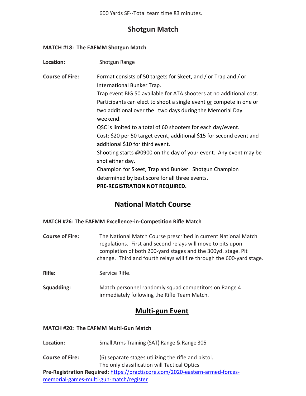600 Yards SF--Total team time 83 minutes.

## **Shotgun Match**

#### **MATCH #18: The EAFMM Shotgun Match**

| Format consists of 50 targets for Skeet, and / or Trap and / or<br>Trap event BIG 50 available for ATA shooters at no additional cost.<br>Participants can elect to shoot a single event or compete in one or<br>two additional over the two days during the Memorial Day<br>QSC is limited to a total of 60 shooters for each day/event.<br>Cost: \$20 per 50 target event, additional \$15 for second event and<br>Shooting starts @0900 on the day of your event. Any event may be<br>Champion for Skeet, Trap and Bunker. Shotgun Champion |
|------------------------------------------------------------------------------------------------------------------------------------------------------------------------------------------------------------------------------------------------------------------------------------------------------------------------------------------------------------------------------------------------------------------------------------------------------------------------------------------------------------------------------------------------|
|                                                                                                                                                                                                                                                                                                                                                                                                                                                                                                                                                |

## **National Match Course**

#### **MATCH #26: The EAFMM Excellence-in-Competition Rifle Match**

| <b>Course of Fire:</b> | The National Match Course prescribed in current National Match        |
|------------------------|-----------------------------------------------------------------------|
|                        | regulations. First and second relays will move to pits upon           |
|                        | completion of both 200-yard stages and the 300yd. stage. Pit          |
|                        | change. Third and fourth relays will fire through the 600-yard stage. |

**Rifle:** Service Rifle.

**Squadding:** Match personnel randomly squad competitors on Range 4 immediately following the Rifle Team Match.

## **Multi-gun Event**

#### **MATCH #20: The EAFMM Multi-Gun Match**

- Location: Small Arms Training (SAT) Range & Range 305
- **Course of Fire:** (6) separate stages utilizing the rifle and pistol. The only classification will Tactical Optics

**Pre-Registration Required**: [https://practiscore.com/2020-eastern-armed-forces](https://practiscore.com/2020-eastern-armed-forces-memorial-games-multi-gun-match/register)[memorial-games-multi-gun-match/register](https://practiscore.com/2020-eastern-armed-forces-memorial-games-multi-gun-match/register)